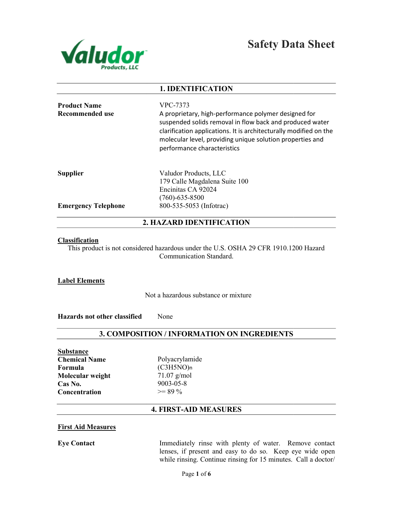

|                                               | <b>1. IDENTIFICATION</b>                                                                                                                                                                                                                                                                      |
|-----------------------------------------------|-----------------------------------------------------------------------------------------------------------------------------------------------------------------------------------------------------------------------------------------------------------------------------------------------|
| <b>Product Name</b><br>Recommended use        | VPC-7373<br>A proprietary, high-performance polymer designed for<br>suspended solids removal in flow back and produced water<br>clarification applications. It is architecturally modified on the<br>molecular level, providing unique solution properties and<br>performance characteristics |
| <b>Supplier</b><br><b>Emergency Telephone</b> | Valudor Products, LLC<br>179 Calle Magdalena Suite 100<br>Encinitas CA 92024<br>$(760) - 635 - 8500$<br>800-535-5053 (Infotrac)                                                                                                                                                               |

# 2. HAZARD IDENTIFICATION

#### **Classification**

This product is not considered hazardous under the U.S. OSHA 29 CFR 1910.1200 Hazard<br>Communication Standard.

## Label Elements

Not a hazardous substance or mixture

Hazards not other classified None

# 3. COMPOSITION / INFORMATION ON INGREDIENTS

Substance Chemical Name Formula Molecular weight Cas No. **Concentration** 

Polyacrylamide (C3H5NO)n 71.07 g/mol 9003-05-8  $>= 89 \%$ 

# 4. FIRST-AID MEASURES

#### First Aid Measures

Eye Contact

Immediately rinse with plenty of water. Remove contact Immediately lenses, if present and easy to do so. Keep eye wide open while rinsing. Continue rinsing for 15 minutes. Call a doctor/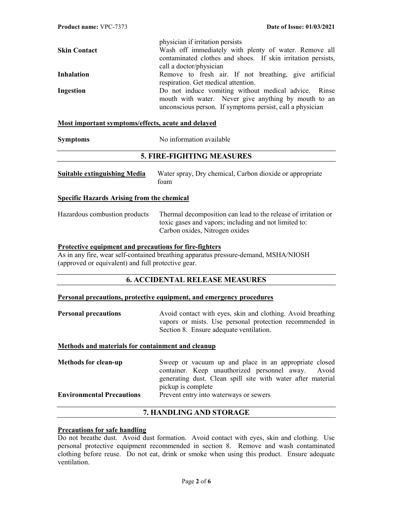|                     | physician if irritation persists                             |
|---------------------|--------------------------------------------------------------|
| <b>Skin Contact</b> | Wash off immediately with plenty of water. Remove all        |
|                     | contaminated clothes and shoes. If skin irritation persists, |
|                     | call a doctor/physician                                      |
| <b>Inhalation</b>   | Remove to fresh air. If not breathing, give artificial       |
|                     | respiration. Get medical attention.                          |
| Ingestion           | Do not induce vomiting without medical advice. Rinse         |
|                     | mouth with water. Never give anything by mouth to an         |
|                     | unconscious person. If symptoms persist, call a physician    |
|                     |                                                              |

#### Most important symptoms/effects, acute and delayed

| <b>Symptoms</b> | No information available |
|-----------------|--------------------------|
|                 |                          |

## 5. FIRE-FIGHTING MEASURES

| <b>Suitable extinguishing Media</b> | Water spray, Dry chemical, Carbon dioxide or appropriate<br>toam |
|-------------------------------------|------------------------------------------------------------------|
|                                     |                                                                  |

#### Specific Hazards Arising from the chemical

Hazardous combustion products Thermal decomposition can lead to the release of irritation or toxic gases and vapors; including and not limited to: Carbon oxides, Nitrogen oxides

#### Protective equipment and precautions for fire-fighters

As in any fire, wear self-contained breathing apparatus pressure-demand, MSHA/NIOSH (approved or equivalent) and full protective gear.

## 6. ACCIDENTAL RELEASE MEASURES

#### Personal precautions, protective equipment, and emergency procedures

| <b>Personal precautions</b> | Avoid contact with eyes, skin and clothing. Avoid breathing |
|-----------------------------|-------------------------------------------------------------|
|                             | vapors or mists. Use personal protection recommended in     |
|                             | Section 8. Ensure adequate ventilation.                     |

#### Methods and materials for containment and cleanup

| <b>Methods for clean-up</b>      | Sweep or vacuum up and place in an appropriate closed       |  |  |
|----------------------------------|-------------------------------------------------------------|--|--|
|                                  | container. Keep unauthorized personnel away. Avoid          |  |  |
|                                  | generating dust. Clean spill site with water after material |  |  |
|                                  | pickup is complete                                          |  |  |
| <b>Environmental Precautions</b> | Prevent entry into waterways or sewers                      |  |  |

## 7. HANDLING AND STORAGE

#### Precautions for safe handling

Do not breathe dust. Avoid dust formation. Avoid contact with eyes, skin and clothing. Use personal protective equipment recommended in section 8. Remove and wash contaminated clothing before reuse. Do not eat, drink or smoke when using this product. Ensure adequate ventilation.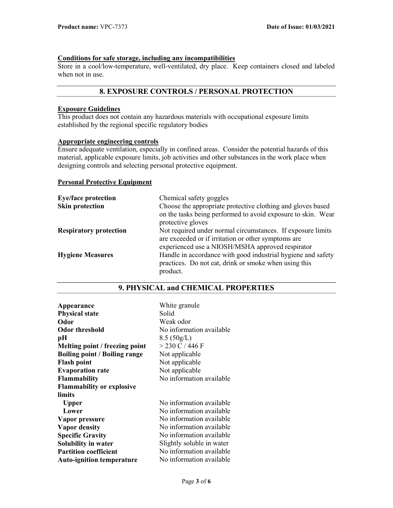## Conditions for safe storage, including any incompatibilities

Store in a cool/low-temperature, well-ventilated, dry place. Keep containers closed and labeled when not in use.

## 8. EXPOSURE CONTROLS / PERSONAL PROTECTION

#### Exposure Guidelines

This product does not contain any hazardous materials with occupational exposure limits established by the regional specific regulatory bodies

## Appropriate engineering controls

Ensure adequate ventilation, especially in confined areas. Consider the potential hazards of this material, applicable exposure limits, job activities and other substances in the work place when designing controls and selecting personal protective equipment.

#### Personal Protective Equipment

| <b>Eye/face protection</b>    | Chemical safety goggles                                                                                                                                                |
|-------------------------------|------------------------------------------------------------------------------------------------------------------------------------------------------------------------|
| <b>Skin protection</b>        | Choose the appropriate protective clothing and gloves based<br>on the tasks being performed to avoid exposure to skin. Wear                                            |
|                               | protective gloves                                                                                                                                                      |
| <b>Respiratory protection</b> | Not required under normal circumstances. If exposure limits<br>are exceeded or if irritation or other symptoms are<br>experienced use a NIOSH/MSHA approved respirator |
| <b>Hygiene Measures</b>       | Handle in accordance with good industrial hygiene and safety<br>practices. Do not eat, drink or smoke when using this<br>product.                                      |

| Appearance                           | White granule             |
|--------------------------------------|---------------------------|
| <b>Physical state</b>                | Solid                     |
| Odor                                 | Weak odor                 |
| <b>Odor threshold</b>                | No information available  |
| pН                                   | 8.5(50g/L)                |
| Melting point / freezing point       | $>$ 230 C / 446 F         |
| <b>Boiling point / Boiling range</b> | Not applicable            |
| <b>Flash point</b>                   | Not applicable            |
| <b>Evaporation rate</b>              | Not applicable            |
| Flammability                         | No information available  |
| <b>Flammability or explosive</b>     |                           |
| limits                               |                           |
| Upper                                | No information available  |
| Lower                                | No information available  |
| Vapor pressure                       | No information available  |
| Vapor density                        | No information available  |
| <b>Specific Gravity</b>              | No information available  |
| Solubility in water                  | Slightly soluble in water |
| <b>Partition coefficient</b>         | No information available  |
| <b>Auto-ignition temperature</b>     | No information available  |

## 9. PHYSICAL and CHEMICAL PROPERTIES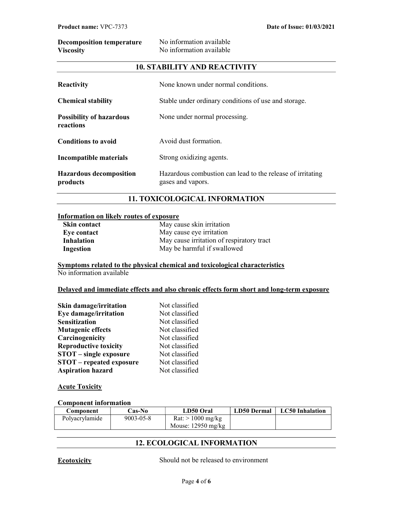| <b>Decomposition temperature</b> | No information available |
|----------------------------------|--------------------------|
| <b>Viscosity</b>                 | No information available |

## 10. STABILITY AND REACTIVITY

| Reactivity                                   | None known under normal conditions.                                             |
|----------------------------------------------|---------------------------------------------------------------------------------|
| <b>Chemical stability</b>                    | Stable under ordinary conditions of use and storage.                            |
| <b>Possibility of hazardous</b><br>reactions | None under normal processing.                                                   |
| <b>Conditions to avoid</b>                   | Avoid dust formation.                                                           |
| Incompatible materials                       | Strong oxidizing agents.                                                        |
| <b>Hazardous decomposition</b><br>products   | Hazardous combustion can lead to the release of irritating<br>gases and vapors. |

# 11. TOXICOLOGICAL INFORMATION

#### Information on likely routes of exposure

| <b>Skin contact</b> | May cause skin irritation                 |
|---------------------|-------------------------------------------|
| Eye contact         | May cause eye irritation                  |
| Inhalation          | May cause irritation of respiratory tract |
| Ingestion           | May be harmful if swallowed               |

Symptoms related to the physical chemical and toxicological characteristics No information available

#### Delayed and immediate effects and also chronic effects form short and long-term exposure

| <b>Skin damage/irritation</b>   | Not classified |
|---------------------------------|----------------|
| Eye damage/irritation           | Not classified |
| <b>Sensitization</b>            | Not classified |
| <b>Mutagenic effects</b>        | Not classified |
| Carcinogenicity                 | Not classified |
| <b>Reproductive toxicity</b>    | Not classified |
| $STOT$ – single exposure        | Not classified |
| <b>STOT</b> – repeated exposure | Not classified |
| <b>Aspiration hazard</b>        | Not classified |

#### **Acute Toxicity**

#### Component information

| Component      | Cas-No          | <b>LD50 Oral</b>                      | LD50 Dermal | <b>LC50</b> Inhalation |
|----------------|-----------------|---------------------------------------|-------------|------------------------|
| Polyacrylamide | $9003 - 05 - 8$ | $\text{Rat}$ : $> 1000 \text{ mg/kg}$ |             |                        |
|                |                 | Mouse: $12950 \text{ mg/kg}$          |             |                        |

# 12. ECOLOGICAL INFORMATION

Ecotoxicity Should not be released to environment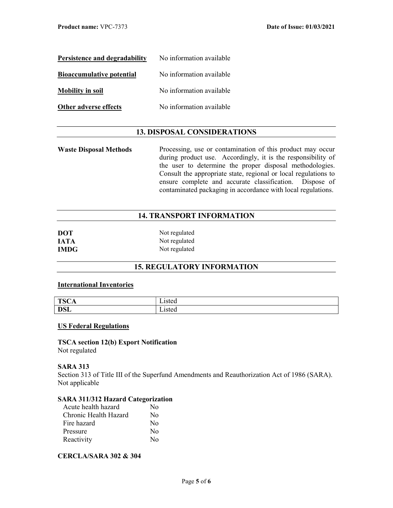| Persistence and degradability    | No information available |
|----------------------------------|--------------------------|
| <b>Bioaccumulative potential</b> | No information available |
| <b>Mobility in soil</b>          | No information available |
| <b>Other adverse effects</b>     | No information available |

## 13. DISPOSAL CONSIDERATIONS

Waste Disposal Methods Processing, use or contamination of this product may occur during product use. Accordingly, it is the responsibility of the user to determine the proper disposal methodologies. Consult the appropriate state, regional or local regulations to ensure complete and accurate classification. Dispose of contaminated packaging in accordance with local regulations.

## 14. TRANSPORT INFORMATION

| <b>DOT</b>  | Not regulated |
|-------------|---------------|
| <b>IATA</b> | Not regulated |
| <b>IMDG</b> | Not regulated |

# 15. REGULATORY INFORMATION

## International Inventories

| TCA<br>״<br>1212<br>* ∾ | - .<br>∟ısted           |
|-------------------------|-------------------------|
| DCL<br><b>DOL</b>       | - .<br>1sted<br>Listeti |

#### US Federal Regulations

TSCA section 12(b) Export Notification Not regulated

#### SARA 313

Section 313 of Title III of the Superfund Amendments and Reauthorization Act of 1986 (SARA). Not applicable

## SARA 311/312 Hazard Categorization

| Acute health hazard   | No               |
|-----------------------|------------------|
| Chronic Health Hazard | No               |
| Fire hazard           | $\rm No$         |
| Pressure              | No               |
| Reactivity            | $\rm N_{\Omega}$ |

## CERCLA/SARA 302 & 304